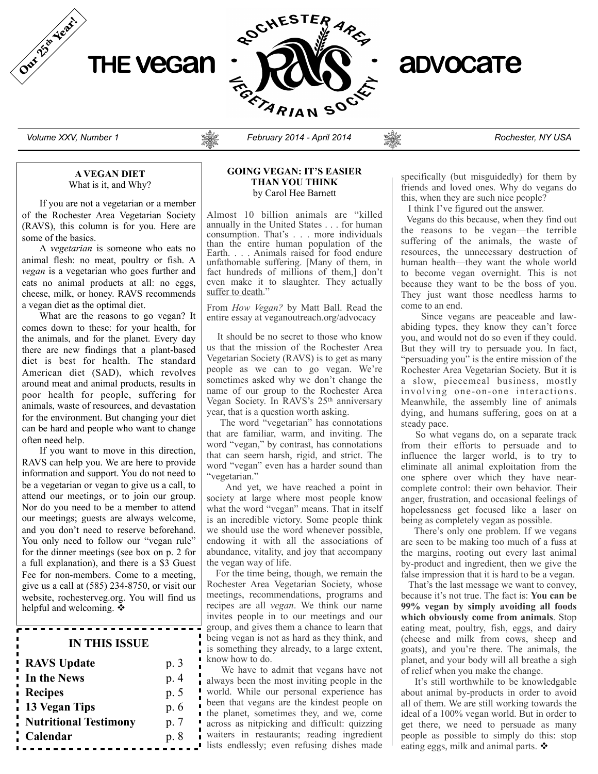



*Volume XXV, Number 1 February 2014 - April 2014 Rochester, NY USA*

#### **A VEGAN DIET** What is it, and Why?

If you are not a vegetarian or a member of the Rochester Area Vegetarian Society (RAVS), this column is for you. Here are some of the basics.

A *vegetarian* is someone who eats no animal flesh: no meat, poultry or fish. A *vegan* is a vegetarian who goes further and eats no animal products at all: no eggs, cheese, milk, or honey. RAVS recommends a vegan diet as the optimal diet.

What are the reasons to go vegan? It comes down to these: for your health, for the animals, and for the planet. Every day there are new findings that a plant-based diet is best for health. The standard American diet (SAD), which revolves around meat and animal products, results in poor health for people, suffering for animals, waste of resources, and devastation for the environment. But changing your diet can be hard and people who want to change often need help.

If you want to move in this direction, RAVS can help you. We are here to provide information and support. You do not need to be a vegetarian or vegan to give us a call, to attend our meetings, or to join our group. Nor do you need to be a member to attend our meetings; guests are always welcome, and you don't need to reserve beforehand. You only need to follow our "vegan rule" for the dinner meetings (see box on p. 2 for a full explanation), and there is a \$3 Guest Fee for non-members. Come to a meeting, give us a call at (585) 234-8750, or visit our website, rochesterveg.org. You will find us helpful and welcoming.  $\cdot$ 

# **IN THIS ISSUE**

<del>. . . . . . . . . . . . . .</del>

| <b>RAVS Update</b>           | p. 3 |
|------------------------------|------|
| In the News                  | p. 4 |
| <b>Recipes</b>               | p. 5 |
| <b>13 Vegan Tips</b>         | p. 6 |
| <b>Nutritional Testimony</b> | p. 7 |
| Calendar                     | p. 8 |

#### **GOING VEGAN: IT'S EASIER THAN YOU THINK** by Carol Hee Barnett

Almost 10 billion animals are "killed annually in the United States . . . for human consumption. That's . . . more individuals than the entire human population of the Earth. . . . Animals raised for food endure unfathomable suffering. [Many of them, in fact hundreds of millions of them,] don't even make it to slaughter. They actually suffer to death."

From *How Vegan?* by Matt Ball. Read the entire essay at veganoutreach.org/advocacy

 It should be no secret to those who know us that the mission of the Rochester Area Vegetarian Society (RAVS) is to get as many people as we can to go vegan. We're sometimes asked why we don't change the name of our group to the Rochester Area Vegan Society. In RAVS's 25<sup>th</sup> anniversary year, that is a question worth asking.

 The word "vegetarian" has connotations that are familiar, warm, and inviting. The word "vegan," by contrast, has connotations that can seem harsh, rigid, and strict. The word "vegan" even has a harder sound than "vegetarian."

 And yet, we have reached a point in society at large where most people know what the word "vegan" means. That in itself is an incredible victory. Some people think we should use the word whenever possible, endowing it with all the associations of abundance, vitality, and joy that accompany the vegan way of life.

 For the time being, though, we remain the Rochester Area Vegetarian Society, whose meetings, recommendations, programs and recipes are all *vegan*. We think our name invites people in to our meetings and our group, and gives them a chance to learn that being vegan is not as hard as they think, and is something they already, to a large extent, know how to do.

 We have to admit that vegans have not always been the most inviting people in the world. While our personal experience has been that vegans are the kindest people on the planet, sometimes they, and we, come across as nitpicking and difficult: quizzing waiters in restaurants; reading ingredient lists endlessly; even refusing dishes made specifically (but misguidedly) for them by friends and loved ones. Why do vegans do this, when they are such nice people?

I think I've figured out the answer.

 Vegans do this because, when they find out the reasons to be vegan—the terrible suffering of the animals, the waste of resources, the unnecessary destruction of human health—they want the whole world to become vegan overnight. This is not because they want to be the boss of you. They just want those needless harms to come to an end.

 Since vegans are peaceable and lawabiding types, they know they can't force you, and would not do so even if they could. But they will try to persuade you. In fact, "persuading you" is the entire mission of the Rochester Area Vegetarian Society. But it is a slow, piecemeal business, mostly involving one-on-one interactions. Meanwhile, the assembly line of animals dying, and humans suffering, goes on at a steady pace.

 So what vegans do, on a separate track from their efforts to persuade and to influence the larger world, is to try to eliminate all animal exploitation from the one sphere over which they have nearcomplete control: their own behavior. Their anger, frustration, and occasional feelings of hopelessness get focused like a laser on being as completely vegan as possible.

 There's only one problem. If we vegans are seen to be making too much of a fuss at the margins, rooting out every last animal by-product and ingredient, then we give the false impression that it is hard to be a vegan.

 That's the last message we want to convey, because it's not true. The fact is: **You can be 99% vegan by simply avoiding all foods which obviously come from animals**. Stop eating meat, poultry, fish, eggs, and dairy (cheese and milk from cows, sheep and goats), and you're there. The animals, the planet, and your body will all breathe a sigh of relief when you make the change.

 It's still worthwhile to be knowledgable about animal by-products in order to avoid all of them. We are still working towards the ideal of a 100% vegan world. But in order to get there, we need to persuade as many people as possible to simply do this: stop eating eggs, milk and animal parts.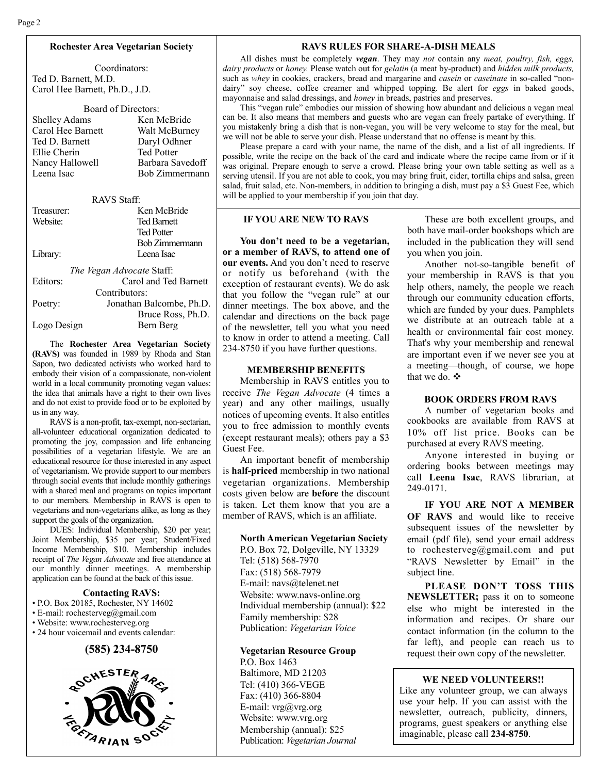## **Rochester Area Vegetarian Society**

Coordinators: Ted D. Barnett, M.D. Carol Hee Barnett, Ph.D., J.D.

| Board of Directors:  |                   |  |  |
|----------------------|-------------------|--|--|
| <b>Shelley Adams</b> | Ken McBride       |  |  |
| Carol Hee Barnett    | Walt McBurney     |  |  |
| Ted D. Barnett       | Daryl Odhner      |  |  |
| Ellie Cherin         | <b>Ted Potter</b> |  |  |
| Nancy Hallowell      | Barbara Savedoff  |  |  |
| Leena Isac           | Bob Zimmermann    |  |  |
|                      |                   |  |  |

RAVS Staff:

| Treasurer:  | Ken McBride               |
|-------------|---------------------------|
| Website:    | <b>Ted Barnett</b>        |
|             | <b>Ted Potter</b>         |
|             | Bob Zimmermann            |
| Library:    | Leena Isac                |
|             | The Vegan Advocate Staff: |
| Editors:    | Carol and Ted Barnett     |
|             | Contributors:             |
| Poetry:     | Jonathan Balcombe, Ph.D.  |
|             | Bruce Ross, Ph.D.         |
| Logo Design | Bern Berg                 |

The **Rochester Area Vegetarian Society (RAVS)** was founded in 1989 by Rhoda and Stan Sapon, two dedicated activists who worked hard to embody their vision of a compassionate, non-violent world in a local community promoting vegan values: the idea that animals have a right to their own lives and do not exist to provide food or to be exploited by us in any way.

RAVS is a non-profit, tax-exempt, non-sectarian, all-volunteer educational organization dedicated to promoting the joy, compassion and life enhancing possibilities of a vegetarian lifestyle. We are an educational resource for those interested in any aspect of vegetarianism. We provide support to our members through social events that include monthly gatherings with a shared meal and programs on topics important to our members. Membership in RAVS is open to vegetarians and non-vegetarians alike, as long as they support the goals of the organization.

DUES: Individual Membership, \$20 per year; Joint Membership, \$35 per year; Student/Fixed Income Membership, \$10. Membership includes receipt of *The Vegan Advocate* and free attendance at our monthly dinner meetings. A membership application can be found at the back of this issue.

#### **Contacting RAVS:**

- P.O. Box 20185, Rochester, NY 14602
- E-mail: rochesterveg@gmail.com
- Website: www.rochesterveg.org

• 24 hour voicemail and events calendar:

#### **(585) 234-8750**



#### **RAVS RULES FOR SHARE-A-DISH MEALS**

All dishes must be completely *vegan*. They may *not* contain any *meat, poultry, fish, eggs, dairy products* or *honey.* Please watch out for *gelatin* (a meat by-product) and *hidden milk products,*  such as *whey* in cookies, crackers, bread and margarine and *casein* or *caseinate* in so-called "nondairy" soy cheese, coffee creamer and whipped topping. Be alert for *eggs* in baked goods, mayonnaise and salad dressings, and *honey* in breads, pastries and preserves.

This "vegan rule" embodies our mission of showing how abundant and delicious a vegan meal can be. It also means that members and guests who are vegan can freely partake of everything. If you mistakenly bring a dish that is non-vegan, you will be very welcome to stay for the meal, but we will not be able to serve your dish. Please understand that no offense is meant by this.

Please prepare a card with your name, the name of the dish, and a list of all ingredients. If possible, write the recipe on the back of the card and indicate where the recipe came from or if it was original. Prepare enough to serve a crowd. Please bring your own table setting as well as a serving utensil. If you are not able to cook, you may bring fruit, cider, tortilla chips and salsa, green salad, fruit salad, etc. Non-members, in addition to bringing a dish, must pay a \$3 Guest Fee, which will be applied to your membership if you join that day.

### **IF YOU ARE NEW TO RAVS**

**You don't need to be a vegetarian, or a member of RAVS, to attend one of our events.** And you don't need to reserve or notify us beforehand (with the exception of restaurant events). We do ask that you follow the "vegan rule" at our dinner meetings. The box above, and the calendar and directions on the back page of the newsletter, tell you what you need to know in order to attend a meeting. Call 234-8750 if you have further questions.

#### **MEMBERSHIP BENEFITS**

Membership in RAVS entitles you to receive *The Vegan Advocate* (4 times a year) and any other mailings, usually notices of upcoming events. It also entitles you to free admission to monthly events (except restaurant meals); others pay a \$3 Guest Fee.

An important benefit of membership is **half-priced** membership in two national vegetarian organizations. Membership costs given below are **before** the discount is taken. Let them know that you are a member of RAVS, which is an affiliate.

#### **North American Vegetarian Society**

P.O. Box 72, Dolgeville, NY 13329 Tel: (518) 568-7970 Fax: (518) 568-7979 E-mail: navs@telenet.net Website: www.navs-online.org Individual membership (annual): \$22 Family membership: \$28 Publication: *Vegetarian Voice*

#### **Vegetarian Resource Group**

P.O. Box 1463 Baltimore, MD 21203 Tel: (410) 366-VEGE Fax: (410) 366-8804 E-mail:  $vrg@vrg.org$ Website: www.vrg.org Membership (annual): \$25 Publication: *Vegetarian Journal*

These are both excellent groups, and both have mail-order bookshops which are included in the publication they will send you when you join.

Another not-so-tangible benefit of your membership in RAVS is that you help others, namely, the people we reach through our community education efforts, which are funded by your dues. Pamphlets we distribute at an outreach table at a health or environmental fair cost money. That's why your membership and renewal are important even if we never see you at a meeting—though, of course, we hope that we do.  $\mathbf{\hat{v}}$ 

#### **BOOK ORDERS FROM RAVS**

A number of vegetarian books and cookbooks are available from RAVS at 10% off list price. Books can be purchased at every RAVS meeting.

Anyone interested in buying or ordering books between meetings may call **Leena Isac**, RAVS librarian, at 249-0171.

**IF YOU ARE NOT A MEMBER OF RAVS** and would like to receive subsequent issues of the newsletter by email (pdf file), send your email address to rochesterveg@gmail.com and put "RAVS Newsletter by Email" in the subject line.

**PLEASE DON'T TOSS THIS NEWSLETTER;** pass it on to someone else who might be interested in the information and recipes. Or share our contact information (in the column to the far left), and people can reach us to request their own copy of the newsletter.

#### **WE NEED VOLUNTEERS!!**

Like any volunteer group, we can always use your help. If you can assist with the newsletter, outreach, publicity, dinners, programs, guest speakers or anything else imaginable, please call **234-8750**.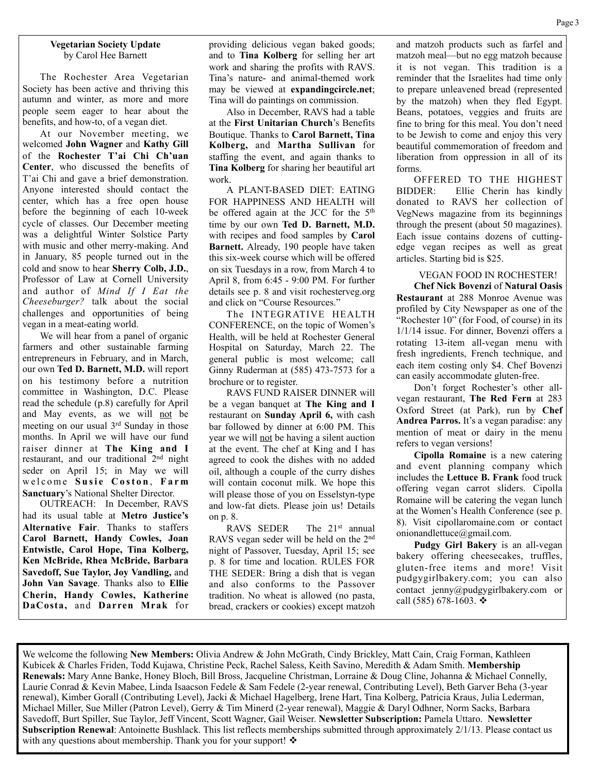#### **Vegetarian Society Update** by Carol Hee Barnett

The Rochester Area Vegetarian Society has been active and thriving this autumn and winter, as more and more people seem eager to hear about the benefits, and how-to, of a vegan diet.

At our November meeting, we welcomed **John Wagner** and **Kathy Gill** of the **Rochester T'ai Chi Ch'uan Center**, who discussed the benefits of T'ai Chi and gave a brief demonstration. Anyone interested should contact the center, which has a free open house before the beginning of each 10-week cycle of classes. Our December meeting was a delightful Winter Solstice Party with music and other merry-making. And in January, 85 people turned out in the cold and snow to hear **Sherry Colb, J.D.**, Professor of Law at Cornell University and author of *Mind If I Eat the Cheeseburger?* talk about the social challenges and opportunities of being vegan in a meat-eating world.

We will hear from a panel of organic farmers and other sustainable farming entrepreneurs in February, and in March, our own **Ted D. Barnett, M.D.** will report on his testimony before a nutrition committee in Washington, D.C. Please read the schedule (p.8) carefully for April and May events, as we will not be meeting on our usual 3rd Sunday in those months. In April we will have our fund raiser dinner at **The King and I** restaurant, and our traditional 2nd night seder on April 15; in May we will welcome Susie Coston, Farm **Sanctuary**'s National Shelter Director.

OUTREACH: In December, RAVS had its usual table at **Metro Justice's Alternative Fair**. Thanks to staffers **Carol Barnett, Handy Cowles, Joan Entwistle, Carol Hope, Tina Kolberg, Ken McBride, Rhea McBride, Barbara Savedoff, Sue Taylor, Joy Vandling,** and **John Van Savage**. Thanks also to **Ellie Cherin, Handy Cowles, Katherine DaCosta,** and **Darren Mrak** for

providing delicious vegan baked goods; and to **Tina Kolberg** for selling her art work and sharing the profits with RAVS. Tina's nature- and animal-themed work may be viewed at **expandingcircle.net**; Tina will do paintings on commission.

Also in December, RAVS had a table at the **First Unitarian Church**'s Benefits Boutique. Thanks to **Carol Barnett, Tina Kolberg,** and **Martha Sullivan** for staffing the event, and again thanks to **Tina Kolberg** for sharing her beautiful art work.

A PLANT-BASED DIET: EATING FOR HAPPINESS AND HEALTH will be offered again at the JCC for the 5<sup>th</sup> time by our own **Ted D. Barnett, M.D.**  with recipes and food samples by **Carol Barnett.** Already, 190 people have taken this six-week course which will be offered on six Tuesdays in a row, from March 4 to April 8, from 6:45 - 9:00 PM. For further details see p. 8 and visit rochesterveg.org and click on "Course Resources."

The INTEGRATIVE HEALTH CONFERENCE, on the topic of Women's Health, will be held at Rochester General Hospital on Saturday, March 22. The general public is most welcome; call Ginny Ruderman at (585) 473-7573 for a brochure or to register.

RAVS FUND RAISER DINNER will be a vegan banquet at **The King and I**  restaurant on **Sunday April 6,** with cash bar followed by dinner at 6:00 PM. This year we will not be having a silent auction at the event. The chef at King and I has agreed to cook the dishes with no added oil, although a couple of the curry dishes will contain coconut milk. We hope this will please those of you on Esselstyn-type and low-fat diets. Please join us! Details on p. 8.

RAVS SEDER The 21<sup>st</sup> annual RAVS vegan seder will be held on the 2nd night of Passover, Tuesday, April 15; see p. 8 for time and location. RULES FOR THE SEDER: Bring a dish that is vegan and also conforms to the Passover tradition. No wheat is allowed (no pasta, bread, crackers or cookies) except matzoh and matzoh products such as farfel and matzoh meal—but no egg matzoh because it is not vegan. This tradition is a reminder that the Israelites had time only to prepare unleavened bread (represented by the matzoh) when they fled Egypt. Beans, potatoes, veggies and fruits are fine to bring for this meal. You don't need to be Jewish to come and enjoy this very beautiful commemoration of freedom and liberation from oppression in all of its forms.

OFFERED TO THE HIGHEST BIDDER: Ellie Cherin has kindly donated to RAVS her collection of VegNews magazine from its beginnings through the present (about 50 magazines). Each issue contains dozens of cuttingedge vegan recipes as well as great articles. Starting bid is \$25.

# VEGAN FOOD IN ROCHESTER!

**Chef Nick Bovenzi** of **Natural Oasis Restaurant** at 288 Monroe Avenue was profiled by City Newspaper as one of the "Rochester 10" (for Food, of course) in its 1/1/14 issue. For dinner, Bovenzi offers a rotating 13-item all-vegan menu with fresh ingredients, French technique, and each item costing only \$4. Chef Bovenzi can easily accommodate gluten-free.

Don't forget Rochester's other allvegan restaurant, **The Red Fern** at 283 Oxford Street (at Park), run by **Chef Andrea Parros.** It's a vegan paradise: any mention of meat or dairy in the menu refers to vegan versions!

**Cipolla Romaine** is a new catering and event planning company which includes the **Lettuce B. Frank** food truck offering vegan carrot sliders. Cipolla Romaine will be catering the vegan lunch at the Women's Health Conference (see p. 8). Visit cipollaromaine.com or contact onionandlettuce@gmail.com.

**Pudgy Girl Bakery** is an all-vegan bakery offering cheesecakes, truffles, gluten-free items and more! Visit pudgygirlbakery.com; you can also contact jenny@pudgygirlbakery.com or call (585) 678-1603.  $\cdot$ 

We welcome the following **New Members:** Olivia Andrew & John McGrath, Cindy Brickley, Matt Cain, Craig Forman, Kathleen Kubicek & Charles Friden, Todd Kujawa, Christine Peck, Rachel Saless, Keith Savino, Meredith & Adam Smith. **Membership Renewals:** Mary Anne Banke, Honey Bloch, Bill Bross, Jacqueline Christman, Lorraine & Doug Cline, Johanna & Michael Connelly, Laurie Conrad & Kevin Mabee, Linda Isaacson Fedele & Sam Fedele (2-year renewal, Contributing Level), Beth Garver Beha (3-year renewal), Kimber Gorall (Contributing Level), Jacki & Michael Hagelberg, Irene Hart, Tina Kolberg, Patricia Kraus, Julia Lederman, Michael Miller, Sue Miller (Patron Level), Gerry & Tim Minerd (2-year renewal), Maggie & Daryl Odhner, Norm Sacks, Barbara Savedoff, Burt Spiller, Sue Taylor, Jeff Vincent, Scott Wagner, Gail Weiser. **Newsletter Subscription:** Pamela Uttaro. **Newsletter Subscription Renewal**: Antoinette Bushlack. This list reflects memberships submitted through approximately 2/1/13. Please contact us with any questions about membership. Thank you for your support!  $\triangleleft$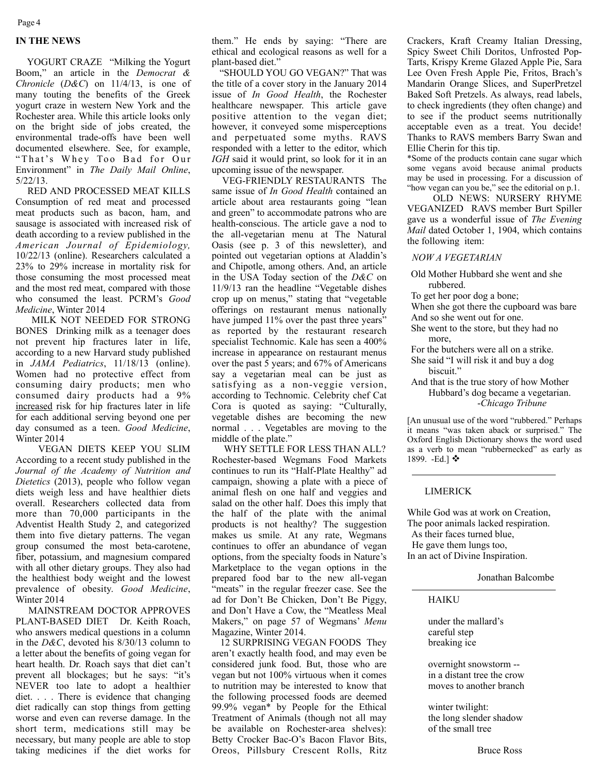Page 4

#### **IN THE NEWS**

 YOGURT CRAZE "Milking the Yogurt Boom," an article in the *Democrat & Chronicle* (*D&C*) on 11/4/13, is one of many touting the benefits of the Greek yogurt craze in western New York and the Rochester area. While this article looks only on the bright side of jobs created, the environmental trade-offs have been well documented elsewhere. See, for example, "That's Whey Too Bad for Our Environment" in *The Daily Mail Online*, 5/22/13.

 RED AND PROCESSED MEAT KILLS Consumption of red meat and processed meat products such as bacon, ham, and sausage is associated with increased risk of death according to a review published in the *American Journal of Epidemiology,* 10/22/13 (online). Researchers calculated a 23% to 29% increase in mortality risk for those consuming the most processed meat and the most red meat, compared with those who consumed the least. PCRM's *Good Medicine*, Winter 2014

 MILK NOT NEEDED FOR STRONG BONES Drinking milk as a teenager does not prevent hip fractures later in life, according to a new Harvard study published in *JAMA Pediatrics*, 11/18/13 (online). Women had no protective effect from consuming dairy products; men who consumed dairy products had a 9% increased risk for hip fractures later in life for each additional serving beyond one per day consumed as a teen. *Good Medicine*, Winter 2014

 VEGAN DIETS KEEP YOU SLIM According to a recent study published in the *Journal of the Academy of Nutrition and Dietetics* (2013), people who follow vegan diets weigh less and have healthier diets overall. Researchers collected data from more than 70,000 participants in the Adventist Health Study 2, and categorized them into five dietary patterns. The vegan group consumed the most beta-carotene, fiber, potassium, and magnesium compared with all other dietary groups. They also had the healthiest body weight and the lowest prevalence of obesity. *Good Medicine*, Winter 2014

 MAINSTREAM DOCTOR APPROVES PLANT-BASED DIET Dr. Keith Roach, who answers medical questions in a column in the *D&C*, devoted his 8/30/13 column to a letter about the benefits of going vegan for heart health. Dr. Roach says that diet can't prevent all blockages; but he says: "it's NEVER too late to adopt a healthier diet. . . . There is evidence that changing diet radically can stop things from getting worse and even can reverse damage. In the short term, medications still may be necessary, but many people are able to stop taking medicines if the diet works for

them." He ends by saying: "There are ethical and ecological reasons as well for a plant-based diet.'

 "SHOULD YOU GO VEGAN?" That was the title of a cover story in the January 2014 issue of *In Good Health*, the Rochester healthcare newspaper. This article gave positive attention to the vegan diet; however, it conveyed some misperceptions and perpetuated some myths. RAVS responded with a letter to the editor, which *IGH* said it would print, so look for it in an upcoming issue of the newspaper.

 VEG-FRIENDLY RESTAURANTS The same issue of *In Good Health* contained an article about area restaurants going "lean and green" to accommodate patrons who are health-conscious. The article gave a nod to the all-vegetarian menu at The Natural Oasis (see p. 3 of this newsletter), and pointed out vegetarian options at Aladdin's and Chipotle, among others. And, an article in the USA Today section of the *D&C* on 11/9/13 ran the headline "Vegetable dishes crop up on menus," stating that "vegetable offerings on restaurant menus nationally have jumped 11% over the past three years" as reported by the restaurant research specialist Technomic. Kale has seen a 400% increase in appearance on restaurant menus over the past 5 years; and 67% of Americans say a vegetarian meal can be just as satisfying as a non-veggie version, according to Technomic. Celebrity chef Cat Cora is quoted as saying: "Culturally, vegetable dishes are becoming the new normal . . . Vegetables are moving to the middle of the plate."

 WHY SETTLE FOR LESS THAN ALL? Rochester-based Wegmans Food Markets continues to run its "Half-Plate Healthy" ad campaign, showing a plate with a piece of animal flesh on one half and veggies and salad on the other half. Does this imply that the half of the plate with the animal products is not healthy? The suggestion makes us smile. At any rate, Wegmans continues to offer an abundance of vegan options, from the specialty foods in Nature's Marketplace to the vegan options in the prepared food bar to the new all-vegan "meats" in the regular freezer case. See the ad for Don't Be Chicken, Don't Be Piggy, and Don't Have a Cow, the "Meatless Meal Makers," on page 57 of Wegmans' *Menu* Magazine, Winter 2014.

 12 SURPRISING VEGAN FOODS They aren't exactly health food, and may even be considered junk food. But, those who are vegan but not 100% virtuous when it comes to nutrition may be interested to know that the following processed foods are deemed 99.9% vegan\* by People for the Ethical Treatment of Animals (though not all may be available on Rochester-area shelves): Betty Crocker Bac-O's Bacon Flavor Bits, Oreos, Pillsbury Crescent Rolls, Ritz Crackers, Kraft Creamy Italian Dressing, Spicy Sweet Chili Doritos, Unfrosted Pop-Tarts, Krispy Kreme Glazed Apple Pie, Sara Lee Oven Fresh Apple Pie, Fritos, Brach's Mandarin Orange Slices, and SuperPretzel Baked Soft Pretzels. As always, read labels, to check ingredients (they often change) and to see if the product seems nutritionally acceptable even as a treat. You decide! Thanks to RAVS members Barry Swan and Ellie Cherin for this tip.

\*Some of the products contain cane sugar which some vegans avoid because animal products may be used in processing. For a discussion of "how vegan can you be," see the editorial on p.1.

 OLD NEWS: NURSERY RHYME VEGANIZED RAVS member Burt Spiller gave us a wonderful issue of *The Evening Mail* dated October 1, 1904, which contains the following item:

*NOW A VEGETARIAN*

- Old Mother Hubbard she went and she rubbered.
- To get her poor dog a bone;

When she got there the cupboard was bare And so she went out for one.

- She went to the store, but they had no more,
- For the butchers were all on a strike.
- She said "I will risk it and buy a dog biscuit."
- And that is the true story of how Mother Hubbard's dog became a vegetarian. -*Chicago Tribune*

[An unusual use of the word "rubbered." Perhaps it means "was taken aback or surprised." The Oxford English Dictionary shows the word used as a verb to mean "rubbernecked" as early as 1899. -Ed.] ❖

### LIMERICK

While God was at work on Creation, The poor animals lacked respiration. As their faces turned blue, He gave them lungs too, In an act of Divine Inspiration.

Jonathan Balcombe

HAIKU

under the mallard's careful step breaking ice

overnight snowstorm - in a distant tree the crow moves to another branch

winter twilight: the long slender shadow of the small tree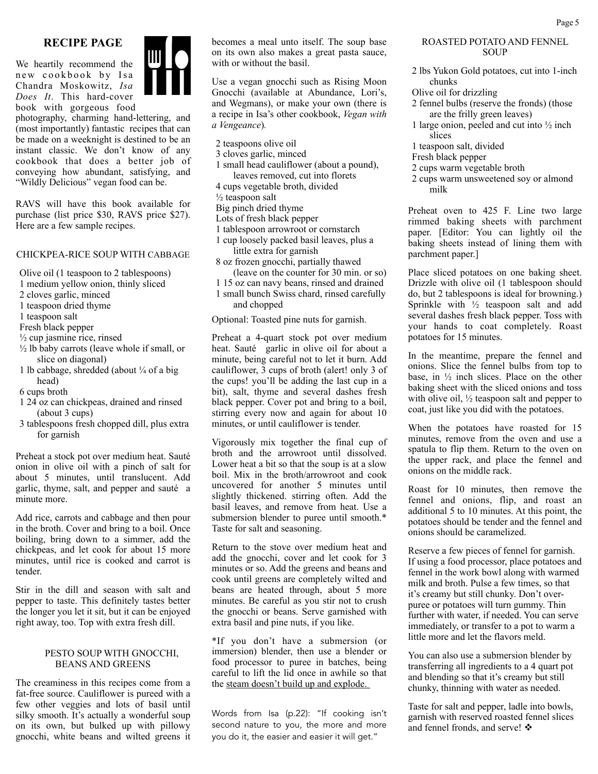# **RECIPE PAGE**

We heartily recommend the new cookbook by Isa Chandra Moskowitz, *Isa Does It*. This hard-cover book with gorgeous food

photography, charming hand-lettering, and (most importantly) fantastic recipes that can be made on a weeknight is destined to be an instant classic. We don't know of any cookbook that does a better job of conveying how abundant, satisfying, and "Wildly Delicious" vegan food can be.

RAVS will have this book available for purchase (list price \$30, RAVS price \$27). Here are a few sample recipes.

#### CHICKPEA-RICE SOUP WITH CABBAGE

Olive oil (1 teaspoon to 2 tablespoons)

- 1 medium yellow onion, thinly sliced
- 2 cloves garlic, minced
- 1 teaspoon dried thyme
- 1 teaspoon salt
- Fresh black pepper
- $\frac{1}{2}$  cup jasmine rice, rinsed
- $\frac{1}{2}$  lb baby carrots (leave whole if small, or slice on diagonal)
- 1 lb cabbage, shredded (about ¼ of a big head)
- 6 cups broth
- 1 24 oz can chickpeas, drained and rinsed (about 3 cups)
- 3 tablespoons fresh chopped dill, plus extra for garnish

Preheat a stock pot over medium heat. Sauté onion in olive oil with a pinch of salt for about 5 minutes, until translucent. Add garlic, thyme, salt, and pepper and sauté a minute more.

Add rice, carrots and cabbage and then pour in the broth. Cover and bring to a boil. Once boiling, bring down to a simmer, add the chickpeas, and let cook for about 15 more minutes, until rice is cooked and carrot is tender.

Stir in the dill and season with salt and pepper to taste. This definitely tastes better the longer you let it sit, but it can be enjoyed right away, too. Top with extra fresh dill.

#### PESTO SOUP WITH GNOCCHI, BEANS AND GREENS

The creaminess in this recipes come from a fat-free source. Cauliflower is pureed with a few other veggies and lots of basil until silky smooth. It's actually a wonderful soup on its own, but bulked up with pillowy gnocchi, white beans and wilted greens it

becomes a meal unto itself. The soup base on its own also makes a great pasta sauce, with or without the basil.

Use a vegan gnocchi such as Rising Moon Gnocchi (available at Abundance, Lori's, and Wegmans), or make your own (there is a recipe in Isa's other cookbook, *Vegan with a Vengeance*)*.*

- 2 teaspoons olive oil
- 3 cloves garlic, minced
- 1 small head cauliflower (about a pound), leaves removed, cut into florets
- 4 cups vegetable broth, divided
- $\frac{1}{2}$  teaspoon salt
- Big pinch dried thyme
- Lots of fresh black pepper
- 1 tablespoon arrowroot or cornstarch
- 1 cup loosely packed basil leaves, plus a
- little extra for garnish
- 8 oz frozen gnocchi, partially thawed (leave on the counter for 30 min. or so)
- 1 15 oz can navy beans, rinsed and drained
- 1 small bunch Swiss chard, rinsed carefully and chopped

Optional: Toasted pine nuts for garnish.

Preheat a 4-quart stock pot over medium heat. Sauté garlic in olive oil for about a minute, being careful not to let it burn. Add cauliflower, 3 cups of broth (alert! only 3 of the cups! you'll be adding the last cup in a bit), salt, thyme and several dashes fresh black pepper. Cover pot and bring to a boil, stirring every now and again for about 10 minutes, or until cauliflower is tender.

Vigorously mix together the final cup of broth and the arrowroot until dissolved. Lower heat a bit so that the soup is at a slow boil. Mix in the broth/arrowroot and cook uncovered for another 5 minutes until slightly thickened. stirring often. Add the basil leaves, and remove from heat. Use a submersion blender to puree until smooth.\* Taste for salt and seasoning.

Return to the stove over medium heat and add the gnocchi, cover and let cook for 3 minutes or so. Add the greens and beans and cook until greens are completely wilted and beans are heated through, about 5 more minutes. Be careful as you stir not to crush the gnocchi or beans. Serve garnished with extra basil and pine nuts, if you like.

\*If you don't have a submersion (or immersion) blender, then use a blender or food processor to puree in batches, being careful to lift the lid once in awhile so that the steam doesn't build up and explode.

Words from Isa (p.22): "If cooking isn't second nature to you, the more and more you do it, the easier and easier it will get."

#### ROASTED POTATO AND FENNEL **SOUP**

- 2 lbs Yukon Gold potatoes, cut into 1-inch chunks
- Olive oil for drizzling
- 2 fennel bulbs (reserve the fronds) (those are the frilly green leaves)
- 1 large onion, peeled and cut into ½ inch slices
- 1 teaspoon salt, divided
- Fresh black pepper
- 2 cups warm vegetable broth
- 2 cups warm unsweetened soy or almond milk

Preheat oven to 425 F. Line two large rimmed baking sheets with parchment paper. [Editor: You can lightly oil the baking sheets instead of lining them with parchment paper.]

Place sliced potatoes on one baking sheet. Drizzle with olive oil (1 tablespoon should do, but 2 tablespoons is ideal for browning.) Sprinkle with ½ teaspoon salt and add several dashes fresh black pepper. Toss with your hands to coat completely. Roast potatoes for 15 minutes.

In the meantime, prepare the fennel and onions. Slice the fennel bulbs from top to base, in  $\frac{1}{2}$  inch slices. Place on the other baking sheet with the sliced onions and toss with olive oil, ½ teaspoon salt and pepper to coat, just like you did with the potatoes.

When the potatoes have roasted for 15 minutes, remove from the oven and use a spatula to flip them. Return to the oven on the upper rack, and place the fennel and onions on the middle rack.

Roast for 10 minutes, then remove the fennel and onions, flip, and roast an additional 5 to 10 minutes. At this point, the potatoes should be tender and the fennel and onions should be caramelized.

Reserve a few pieces of fennel for garnish. If using a food processor, place potatoes and fennel in the work bowl along with warmed milk and broth. Pulse a few times, so that it's creamy but still chunky. Don't overpuree or potatoes will turn gummy. Thin further with water, if needed. You can serve immediately, or transfer to a pot to warm a little more and let the flavors meld.

You can also use a submersion blender by transferring all ingredients to a 4 quart pot and blending so that it's creamy but still chunky, thinning with water as needed.

Taste for salt and pepper, ladle into bowls, garnish with reserved roasted fennel slices and fennel fronds, and serve!  $\cdot \cdot$ 

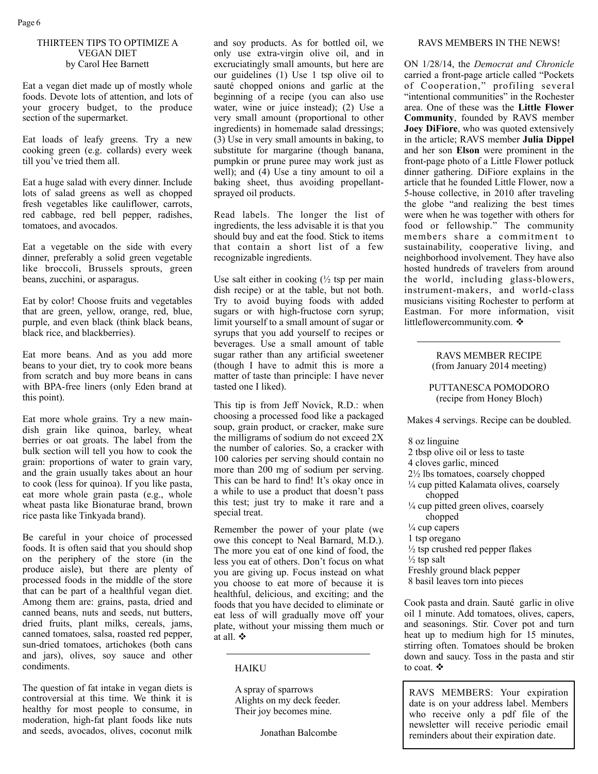## THIRTEEN TIPS TO OPTIMIZE A VEGAN DIET by Carol Hee Barnett

Eat a vegan diet made up of mostly whole foods. Devote lots of attention, and lots of your grocery budget, to the produce section of the supermarket.

Eat loads of leafy greens. Try a new cooking green (e.g. collards) every week till you've tried them all.

Eat a huge salad with every dinner. Include lots of salad greens as well as chopped fresh vegetables like cauliflower, carrots, red cabbage, red bell pepper, radishes, tomatoes, and avocados.

Eat a vegetable on the side with every dinner, preferably a solid green vegetable like broccoli, Brussels sprouts, green beans, zucchini, or asparagus.

Eat by color! Choose fruits and vegetables that are green, yellow, orange, red, blue, purple, and even black (think black beans, black rice, and blackberries).

Eat more beans. And as you add more beans to your diet, try to cook more beans from scratch and buy more beans in cans with BPA-free liners (only Eden brand at this point).

Eat more whole grains. Try a new maindish grain like quinoa, barley, wheat berries or oat groats. The label from the bulk section will tell you how to cook the grain: proportions of water to grain vary, and the grain usually takes about an hour to cook (less for quinoa). If you like pasta, eat more whole grain pasta (e.g., whole wheat pasta like Bionaturae brand, brown rice pasta like Tinkyada brand).

Be careful in your choice of processed foods. It is often said that you should shop on the periphery of the store (in the produce aisle), but there are plenty of processed foods in the middle of the store that can be part of a healthful vegan diet. Among them are: grains, pasta, dried and canned beans, nuts and seeds, nut butters, dried fruits, plant milks, cereals, jams, canned tomatoes, salsa, roasted red pepper, sun-dried tomatoes, artichokes (both cans and jars), olives, soy sauce and other condiments.

The question of fat intake in vegan diets is controversial at this time. We think it is healthy for most people to consume, in moderation, high-fat plant foods like nuts and seeds, avocados, olives, coconut milk

and soy products. As for bottled oil, we only use extra-virgin olive oil, and in excruciatingly small amounts, but here are our guidelines (1) Use 1 tsp olive oil to sauté chopped onions and garlic at the beginning of a recipe (you can also use water, wine or juice instead); (2) Use a very small amount (proportional to other ingredients) in homemade salad dressings; (3) Use in very small amounts in baking, to substitute for margarine (though banana, pumpkin or prune puree may work just as well); and (4) Use a tiny amount to oil a baking sheet, thus avoiding propellantsprayed oil products.

Read labels. The longer the list of ingredients, the less advisable it is that you should buy and eat the food. Stick to items that contain a short list of a few recognizable ingredients.

Use salt either in cooking  $\frac{1}{2}$  tsp per main dish recipe) or at the table, but not both. Try to avoid buying foods with added sugars or with high-fructose corn syrup; limit yourself to a small amount of sugar or syrups that you add yourself to recipes or beverages. Use a small amount of table sugar rather than any artificial sweetener (though I have to admit this is more a matter of taste than principle: I have never tasted one I liked).

This tip is from Jeff Novick, R.D.: when choosing a processed food like a packaged soup, grain product, or cracker, make sure the milligrams of sodium do not exceed 2X the number of calories. So, a cracker with 100 calories per serving should contain no more than 200 mg of sodium per serving. This can be hard to find! It's okay once in a while to use a product that doesn't pass this test; just try to make it rare and a special treat.

Remember the power of your plate (we owe this concept to Neal Barnard, M.D.). The more you eat of one kind of food, the less you eat of others. Don't focus on what you are giving up. Focus instead on what you choose to eat more of because it is healthful, delicious, and exciting; and the foods that you have decided to eliminate or eat less of will gradually move off your plate, without your missing them much or at all.  $\mathbf{\hat{v}}$ 

HAIKU

A spray of sparrows Alights on my deck feeder. Their joy becomes mine.

Jonathan Balcombe

#### RAVS MEMBERS IN THE NEWS!

ON 1/28/14, the *Democrat and Chronicle* carried a front-page article called "Pockets of Cooperation," profiling several "intentional communities" in the Rochester area. One of these was the **Little Flower Community**, founded by RAVS member **Joey DiFiore**, who was quoted extensively in the article; RAVS member **Julia Dippel**  and her son **Elson** were prominent in the front-page photo of a Little Flower potluck dinner gathering. DiFiore explains in the article that he founded Little Flower, now a 5-house collective, in 2010 after traveling the globe "and realizing the best times were when he was together with others for food or fellowship." The community members share a commitment to sustainability, cooperative living, and neighborhood involvement. They have also hosted hundreds of travelers from around the world, including glass-blowers, instrument-makers, and world-class musicians visiting Rochester to perform at Eastman. For more information, visit littleflowercommunity.com. ❖

> RAVS MEMBER RECIPE (from January 2014 meeting)

PUTTANESCA POMODORO (recipe from Honey Bloch)

Makes 4 servings. Recipe can be doubled.

8 oz linguine

- 2 tbsp olive oil or less to taste
- 4 cloves garlic, minced
- 2½ lbs tomatoes, coarsely chopped
- ¼ cup pitted Kalamata olives, coarsely chopped
- $\frac{1}{4}$  cup pitted green olives, coarsely chopped
- $\frac{1}{4}$  cup capers
- 1 tsp oregano
- $\frac{1}{2}$  tsp crushed red pepper flakes

 $\frac{1}{2}$  tsp salt

- Freshly ground black pepper
- 8 basil leaves torn into pieces

Cook pasta and drain. Sauté garlic in olive oil 1 minute. Add tomatoes, olives, capers, and seasonings. Stir. Cover pot and turn heat up to medium high for 15 minutes, stirring often. Tomatoes should be broken down and saucy. Toss in the pasta and stir to coat.  $\mathbf{\hat{P}}$ 

RAVS MEMBERS: Your expiration date is on your address label. Members who receive only a pdf file of the newsletter will receive periodic email reminders about their expiration date.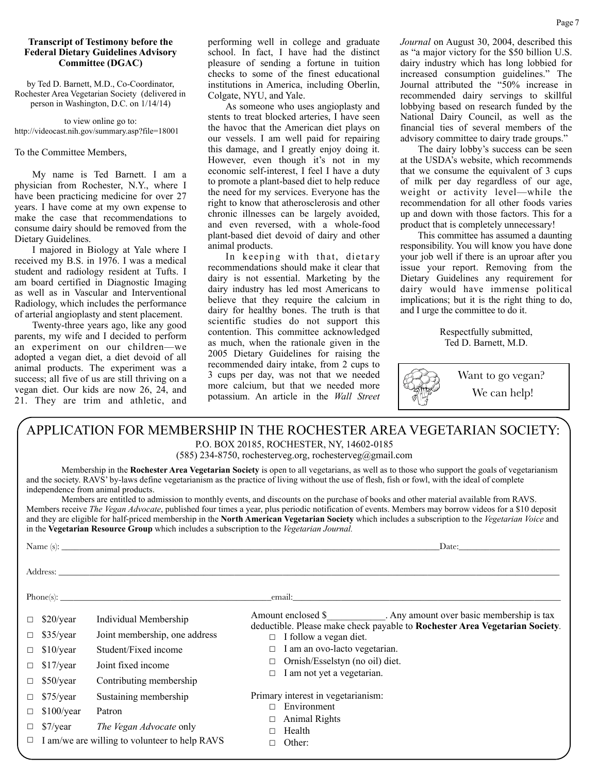### **Transcript of Testimony before the Federal Dietary Guidelines Advisory Committee (DGAC)**

by Ted D. Barnett, M.D., Co-Coordinator, Rochester Area Vegetarian Society (delivered in person in Washington, D.C. on 1/14/14)

to view online go to: http://videocast.nih.gov/summary.asp?file=18001

To the Committee Members,

My name is Ted Barnett. I am a physician from Rochester, N.Y., where I have been practicing medicine for over 27 years. I have come at my own expense to make the case that recommendations to consume dairy should be removed from the Dietary Guidelines.

I majored in Biology at Yale where I received my B.S. in 1976. I was a medical student and radiology resident at Tufts. I am board certified in Diagnostic Imaging as well as in Vascular and Interventional Radiology, which includes the performance of arterial angioplasty and stent placement.

Twenty-three years ago, like any good parents, my wife and I decided to perform an experiment on our children—we adopted a vegan diet, a diet devoid of all animal products. The experiment was a success; all five of us are still thriving on a vegan diet. Our kids are now 26, 24, and 21. They are trim and athletic, and performing well in college and graduate school. In fact, I have had the distinct pleasure of sending a fortune in tuition checks to some of the finest educational institutions in America, including Oberlin, Colgate, NYU, and Yale.

As someone who uses angioplasty and stents to treat blocked arteries, I have seen the havoc that the American diet plays on our vessels. I am well paid for repairing this damage, and I greatly enjoy doing it. However, even though it's not in my economic self-interest, I feel I have a duty to promote a plant-based diet to help reduce the need for my services. Everyone has the right to know that atherosclerosis and other chronic illnesses can be largely avoided, and even reversed, with a whole-food plant-based diet devoid of dairy and other animal products.

In keeping with that, dietary recommendations should make it clear that dairy is not essential. Marketing by the dairy industry has led most Americans to believe that they require the calcium in dairy for healthy bones. The truth is that scientific studies do not support this contention. This committee acknowledged as much, when the rationale given in the 2005 Dietary Guidelines for raising the recommended dairy intake, from 2 cups to 3 cups per day, was not that we needed more calcium, but that we needed more potassium. An article in the *Wall Street* 

*Journal* on August 30, 2004, described this as "a major victory for the \$50 billion U.S. dairy industry which has long lobbied for increased consumption guidelines." The Journal attributed the "50% increase in recommended dairy servings to skillful lobbying based on research funded by the National Dairy Council, as well as the financial ties of several members of the advisory committee to dairy trade groups."

The dairy lobby's success can be seen at the USDA's website, which recommends that we consume the equivalent of 3 cups of milk per day regardless of our age, weight or activity level—while the recommendation for all other foods varies up and down with those factors. This for a product that is completely unnecessary!

This committee has assumed a daunting responsibility. You will know you have done your job well if there is an uproar after you issue your report. Removing from the Dietary Guidelines any requirement for dairy would have immense political implications; but it is the right thing to do, and I urge the committee to do it.

> Respectfully submitted, Ted D. Barnett, M.D.



Want to go vegan? We can help!

# APPLICATION FOR MEMBERSHIP IN THE ROCHESTER AREA VEGETARIAN SOCIETY:

P.O. BOX 20185, ROCHESTER, NY, 14602-0185

(585) 234-8750, rochesterveg.org, rochesterveg@gmail.com

 Membership in the **Rochester Area Vegetarian Society** is open to all vegetarians, as well as to those who support the goals of vegetarianism and the society. RAVS' by-laws define vegetarianism as the practice of living without the use of flesh, fish or fowl, with the ideal of complete independence from animal products.

 Members are entitled to admission to monthly events, and discounts on the purchase of books and other material available from RAVS. Members receive *The Vegan Advocate*, published four times a year, plus periodic notification of events. Members may borrow videos for a \$10 deposit and they are eligible for half-priced membership in the **North American Vegetarian Society** which includes a subscription to the *Vegetarian Voice* and in the **Vegetarian Resource Group** which includes a subscription to the *Vegetarian Journal.*

|                                                                                                                                                                                                                                                                                                        |                                                                           | Name $(s)$ :                                                                                                                    | Date:                                                                                                                                                                                                                                                                             |  |
|--------------------------------------------------------------------------------------------------------------------------------------------------------------------------------------------------------------------------------------------------------------------------------------------------------|---------------------------------------------------------------------------|---------------------------------------------------------------------------------------------------------------------------------|-----------------------------------------------------------------------------------------------------------------------------------------------------------------------------------------------------------------------------------------------------------------------------------|--|
|                                                                                                                                                                                                                                                                                                        |                                                                           |                                                                                                                                 |                                                                                                                                                                                                                                                                                   |  |
| $\label{eq:Chone} {\rm Phone}(s)\mbox{:}\; \underline{\hspace{2cm}}$<br>email: the contract of the contract of the contract of the contract of the contract of the contract of the contract of the contract of the contract of the contract of the contract of the contract of the contract of the con |                                                                           |                                                                                                                                 |                                                                                                                                                                                                                                                                                   |  |
| $\Box$<br>$\Box$<br>$\Box$<br>$\Box$<br>$\Box$                                                                                                                                                                                                                                                         | \$20/year<br>$$35/\text{year}$<br>$$10$ /year<br>$$17$ /year<br>\$50/year | Individual Membership<br>Joint membership, one address<br>Student/Fixed income<br>Joint fixed income<br>Contributing membership | Amount enclosed \$ . Any amount over basic membership is tax<br>deductible. Please make check payable to Rochester Area Vegetarian Society.<br>I follow a vegan diet.<br>$\Box$<br>I am an ovo-lacto vegetarian.<br>Ornish/Esselstyn (no oil) diet.<br>I am not yet a vegetarian. |  |
| $\Box$<br>$\Box$<br>$\Box$                                                                                                                                                                                                                                                                             | $$75$ /year<br>\$100/year<br>$\frac{\sqrt{2}}{2}$                         | Sustaining membership<br>Patron<br>The Vegan Advocate only<br>I am/we are willing to volunteer to help RAVS                     | Primary interest in vegetarianism:<br>Environment<br><b>Animal Rights</b><br>Health<br>Other:                                                                                                                                                                                     |  |